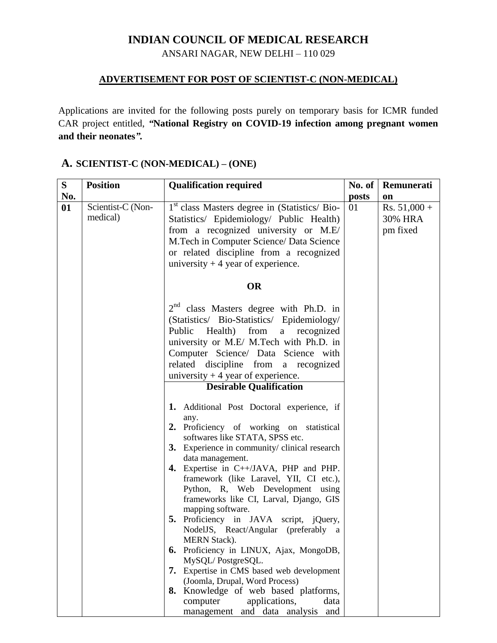## **INDIAN COUNCIL OF MEDICAL RESEARCH**

ANSARI NAGAR, NEW DELHI – 110 029

## **ADVERTISEMENT FOR POST OF SCIENTIST-C (NON-MEDICAL)**

Applications are invited for the following posts purely on temporary basis for ICMR funded CAR project entitled, *"***National Registry on COVID-19 infection among pregnant women and their neonates***".*

| S   | <b>Position</b>               | <b>Qualification required</b>                                                                                                                                                                                                                                                                                                                                                                                                                                                                                                                                                                                                                                                                                                                                             | No. of | Remunerati                            |
|-----|-------------------------------|---------------------------------------------------------------------------------------------------------------------------------------------------------------------------------------------------------------------------------------------------------------------------------------------------------------------------------------------------------------------------------------------------------------------------------------------------------------------------------------------------------------------------------------------------------------------------------------------------------------------------------------------------------------------------------------------------------------------------------------------------------------------------|--------|---------------------------------------|
| No. |                               |                                                                                                                                                                                                                                                                                                                                                                                                                                                                                                                                                                                                                                                                                                                                                                           | posts  | on                                    |
| 01  | Scientist-C (Non-<br>medical) | 1 <sup>st</sup> class Masters degree in (Statistics/ Bio-<br>Statistics/ Epidemiology/ Public Health)<br>from a recognized university or M.E/<br>M.Tech in Computer Science/ Data Science<br>or related discipline from a recognized<br>university $+4$ year of experience.                                                                                                                                                                                                                                                                                                                                                                                                                                                                                               | 01     | $Rs. 51,000 +$<br>30% HRA<br>pm fixed |
|     |                               | <b>OR</b>                                                                                                                                                                                                                                                                                                                                                                                                                                                                                                                                                                                                                                                                                                                                                                 |        |                                       |
|     |                               | $2nd$ class Masters degree with Ph.D. in<br>(Statistics/ Bio-Statistics/ Epidemiology/<br>from<br>Public<br>Health)<br>a<br>recognized<br>university or M.E/ M.Tech with Ph.D. in<br>Computer Science/ Data Science with<br>related<br>discipline from a recognized<br>university $+4$ year of experience.<br><b>Desirable Qualification</b>                                                                                                                                                                                                                                                                                                                                                                                                                              |        |                                       |
|     |                               | 1. Additional Post Doctoral experience, if<br>any.<br>2. Proficiency of working on statistical<br>softwares like STATA, SPSS etc.<br>3. Experience in community/clinical research<br>data management.<br>4. Expertise in C++/JAVA, PHP and PHP.<br>framework (like Laravel, YII, CI etc.),<br>Python, R, Web Development using<br>frameworks like CI, Larval, Django, GIS<br>mapping software.<br>5. Proficiency in JAVA script, jQuery,<br>NodelJS, React/Angular (preferably a<br>MERN Stack).<br>Proficiency in LINUX, Ajax, MongoDB,<br>6.<br>MySQL/PostgreSQL.<br>7. Expertise in CMS based web development<br>(Joomla, Drupal, Word Process)<br>8. Knowledge of web based platforms,<br>applications,<br>computer<br>data<br>and data analysis<br>management<br>and |        |                                       |

## **A. SCIENTIST-C (NON-MEDICAL) – (ONE)**